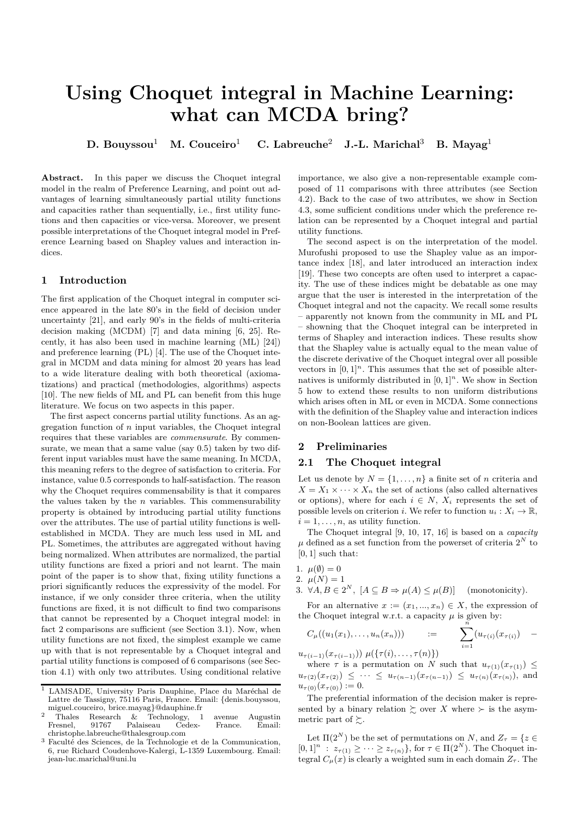# **Using Choquet integral in Machine Learning: what can MCDA bring?**

**D. Bouyssou**<sup>1</sup> **M. Couceiro**<sup>1</sup> **C. Labreuche**<sup>2</sup> **J.-L. Marichal**<sup>3</sup> **B. Mayag**<sup>1</sup>

Abstract. In this paper we discuss the Choquet integral model in the realm of Preference Learning, and point out advantages of learning simultaneously partial utility functions and capacities rather than sequentially, i.e., first utility functions and then capacities or vice-versa. Moreover, we present possible interpretations of the Choquet integral model in Preference Learning based on Shapley values and interaction indices.

# **1 Introduction**

The first application of the Choquet integral in computer science appeared in the late 80's in the field of decision under uncertainty [21], and early 90's in the fields of multi-criteria decision making (MCDM) [7] and data mining [6, 25]. Recently, it has also been used in machine learning (ML) [24]) and preference learning (PL) [4]. The use of the Choquet integral in MCDM and data mining for almost 20 years has lead to a wide literature dealing with both theoretical (axiomatizations) and practical (methodologies, algorithms) aspects [10]. The new fields of ML and PL can benefit from this huge literature. We focus on two aspects in this paper.

The first aspect concerns partial utility functions. As an aggregation function of *n* input variables, the Choquet integral requires that these variables are *commensurate*. By commensurate, we mean that a same value (say 0.5) taken by two different input variables must have the same meaning. In MCDA, this meaning refers to the degree of satisfaction to criteria. For instance, value 0*.*5 corresponds to half-satisfaction. The reason why the Choquet requires commensability is that it compares the values taken by the *n* variables. This commensurability property is obtained by introducing partial utility functions over the attributes. The use of partial utility functions is wellestablished in MCDA. They are much less used in ML and PL. Sometimes, the attributes are aggregated without having being normalized. When attributes are normalized, the partial utility functions are fixed a priori and not learnt. The main point of the paper is to show that, fixing utility functions a priori significantly reduces the expressivity of the model. For instance, if we only consider three criteria, when the utility functions are fixed, it is not difficult to find two comparisons that cannot be represented by a Choquet integral model: in fact 2 comparisons are sufficient (see Section 3.1). Now, when utility functions are not fixed, the simplest example we came up with that is not representable by a Choquet integral and partial utility functions is composed of 6 comparisons (see Section 4.1) with only two attributes. Using conditional relative importance, we also give a non-representable example composed of 11 comparisons with three attributes (see Section 4.2). Back to the case of two attributes, we show in Section 4.3, some sufficient conditions under which the preference relation can be represented by a Choquet integral and partial utility functions.

The second aspect is on the interpretation of the model. Murofushi proposed to use the Shapley value as an importance index [18], and later introduced an interaction index [19]. These two concepts are often used to interpret a capacity. The use of these indices might be debatable as one may argue that the user is interested in the interpretation of the Choquet integral and not the capacity. We recall some results – apparently not known from the community in ML and PL – showning that the Choquet integral can be interpreted in terms of Shapley and interaction indices. These results show that the Shapley value is actually equal to the mean value of the discrete derivative of the Choquet integral over all possible vectors in  $[0,1]^n$ . This assumes that the set of possible alternatives is uniformly distributed in  $[0, 1]^n$ . We show in Section 5 how to extend these results to non uniform distributions which arises often in ML or even in MCDA. Some connections with the definition of the Shapley value and interaction indices on non-Boolean lattices are given.

### **2 Preliminaries**

#### **2.1 The Choquet integral**

Let us denote by  $N = \{1, \ldots, n\}$  a finite set of *n* criteria and  $X = X_1 \times \cdots \times X_n$  the set of actions (also called alternatives or options), where for each  $i \in N$ ,  $X_i$  represents the set of possible levels on criterion *i*. We refer to function  $u_i: X_i \to \mathbb{R}$ ,  $i = 1, \ldots, n$ , as utility function.

The Choquet integral [9, 10, 17, 16] is based on a *capacity*  $\mu$  defined as a set function from the powerset of criteria  $2^N$  to [0*,* 1] such that:

- 1.  $\mu(\emptyset) = 0$
- 2.  $\mu(N) = 1$
- 3.  $\forall A, B \in 2^N$ ,  $[A \subseteq B \Rightarrow \mu(A) \le \mu(B)]$  (monotonicity).

For an alternative  $x := (x_1, ..., x_n) \in X$ , the expression of the Choquet integral w.r.t. a capacity  $\mu$  is given by:

$$
C_{\mu}((u_1(x_1),...,u_n(x_n))) = \sum_{i=1}^n (u_{\tau(i)}(x_{\tau(i)}) -
$$

 $u_{\tau(i-1)}(x_{\tau(i-1)}) \mu({\tau(i), \ldots, \tau(n)})$ 

where  $\tau$  is a permutation on *N* such that  $u_{\tau(1)}(x_{\tau(1)}) \leq$  $u_{\tau(2)}(x_{\tau(2)}) \leq \cdots \leq u_{\tau(n-1)}(x_{\tau(n-1)}) \leq u_{\tau(n)}(x_{\tau(n)})$ , and  $u_{\tau(0)}(x_{\tau(0)}) := 0.$ 

The preferential information of the decision maker is represented by a binary relation  $\succsim$  over *X* where  $\succ$  is the asymmetric part of  $\succeq$ .

Let  $\Pi(2^N)$  be the set of permutations on *N*, and  $Z_{\tau} = \{z \in$  $[0,1]^n$ :  $z_{\tau(1)} \geq \cdots \geq z_{\tau(n)}\}$ , for  $\tau \in \Pi(2^N)$ . The Choquet integral  $C_{\mu}(x)$  is clearly a weighted sum in each domain  $Z_{\tau}$ . The

<sup>&</sup>lt;sup>1</sup> LAMSADE, University Paris Dauphine, Place du Maréchal de Lattre de Tassigny, 75116 Paris, France. Email: {denis.bouyssou, miguel.couceiro, brice.mayag}@dauphine.fr

<sup>&</sup>lt;sup>2</sup> Thales Research & Technology, 1 avenue Augustin Fresnel, 91767 Palaiseau Cedex- France. Email: christophe.labreuche@thalesgroup.com

 $^3$  Faculté des Sciences, de la Technologie et de la Communication,  $\,$ 6, rue Richard Coudenhove-Kalergi, L-1359 Luxembourg. Email: jean-luc.marichal@uni.lu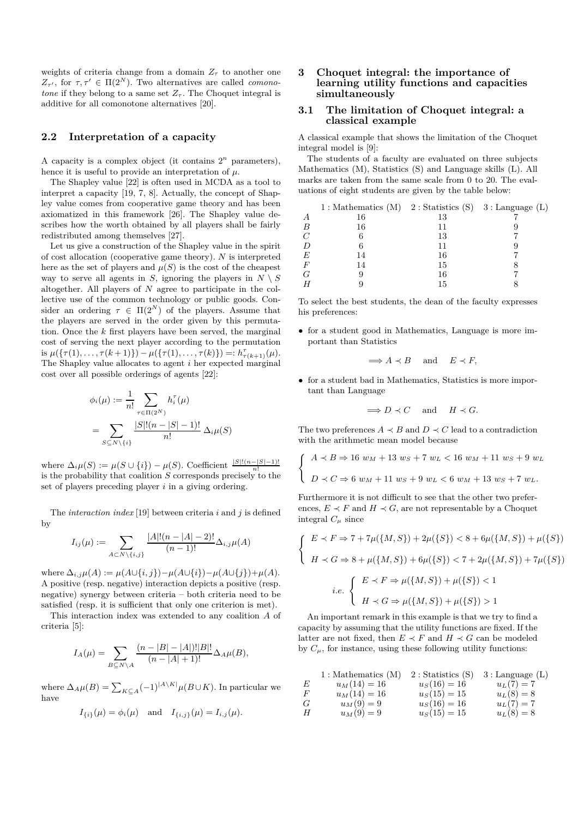weights of criteria change from a domain  $Z<sub>\tau</sub>$  to another one *Z*<sub>τ'</sub>, for  $τ, τ' \in \Pi(2^N)$ . Two alternatives are called *comonotone* if they belong to a same set  $Z_{\tau}$ . The Choquet integral is additive for all comonotone alternatives [20].

# **2.2 Interpretation of a capacity**

A capacity is a complex object (it contains  $2^n$  parameters), hence it is useful to provide an interpretation of *µ*.

The Shapley value [22] is often used in MCDA as a tool to interpret a capacity [19, 7, 8]. Actually, the concept of Shapley value comes from cooperative game theory and has been axiomatized in this framework [26]. The Shapley value describes how the worth obtained by all players shall be fairly redistributed among themselves [27].

Let us give a construction of the Shapley value in the spirit of cost allocation (cooperative game theory). *N* is interpreted here as the set of players and  $\mu(S)$  is the cost of the cheapest way to serve all agents in *S*, ignoring the players in  $N \setminus S$ altogether. All players of *N* agree to participate in the collective use of the common technology or public goods. Consider an ordering  $\tau \in \Pi(2^N)$  of the players. Assume that the players are served in the order given by this permutation. Once the *k* first players have been served, the marginal cost of serving the next player according to the permutation is  $\mu({\{\tau(1), \ldots, \tau(k+1)\}) - \mu({\{\tau(1), \ldots, \tau(k)\}) =: h_{\tau(k+1)}^{\tau}(\mu).}$ The Shapley value allocates to agent *i* her expected marginal cost over all possible orderings of agents [22]:

$$
\phi_i(\mu) := \frac{1}{n!} \sum_{\tau \in \Pi(2^N)} h_i^{\tau}(\mu)
$$
  
= 
$$
\sum_{S \subseteq N \setminus \{i\}} \frac{|S|!(n-|S|-1)!}{n!} \Delta_i \mu(S)
$$

where  $\Delta_i \mu(S) := \mu(S \cup \{i\}) - \mu(S)$ . Coefficient  $\frac{|S|!(n-|S|-1)!}{n!}$ is the probability that coalition  $S$  corresponds precisely to the set of players preceding player *i* in a giving ordering.

The *interaction index* [19] between criteria *i* and *j* is defined by

$$
I_{ij}(\mu) := \sum_{A \subset N \setminus \{i,j\}} \frac{|A|!(n-|A|-2)!}{(n-1)!} \Delta_{i,j} \mu(A)
$$

where  $\Delta_{i,j}\mu(A) := \mu(A \cup \{i,j\}) - \mu(A \cup \{i\}) - \mu(A \cup \{j\}) + \mu(A)$ . A positive (resp. negative) interaction depicts a positive (resp. negative) synergy between criteria – both criteria need to be satisfied (resp. it is sufficient that only one criterion is met).

This interaction index was extended to any coalition *A* of criteria [5]:

$$
I_A(\mu) = \sum_{B \subseteq N \setminus A} \frac{(n - |B| - |A|)! |B|!}{(n - |A| + 1)!} \Delta_A \mu(B),
$$

where  $\Delta_A \mu(B) = \sum_{K \subseteq A} (-1)^{|A \setminus K|} \mu(B \cup K)$ . In particular we have

$$
I_{\{i\}}(\mu) = \phi_i(\mu)
$$
 and  $I_{\{i,j\}}(\mu) = I_{i,j}(\mu)$ .

# **3 Choquet integral: the importance of learning utility functions and capacities simultaneously**

### **3.1 The limitation of Choquet integral: a classical example**

A classical example that shows the limitation of the Choquet integral model is [9]:

The students of a faculty are evaluated on three subjects Mathematics (M), Statistics (S) and Language skills (L). All marks are taken from the same scale from 0 to 20. The evaluations of eight students are given by the table below:

|       | $1:$ Mathematics (M) $2:$ Statistics (S) $3:$ Language (L) |    |  |
|-------|------------------------------------------------------------|----|--|
| А     | 16                                                         | 13 |  |
| B     | 16                                                         | 11 |  |
| C     |                                                            | 13 |  |
| D     |                                                            | 11 |  |
| E     | 14                                                         | 16 |  |
| $\,F$ | 14                                                         | 15 |  |
| G     |                                                            | 16 |  |
|       |                                                            | 15 |  |

To select the best students, the dean of the faculty expresses his preferences:

• for a student good in Mathematics, Language is more important than Statistics

$$
\implies A \prec B
$$
 and  $E \prec F$ ,

• for a student bad in Mathematics, Statistics is more important than Language

$$
\implies D \prec C \quad \text{ and } \quad H \prec G.
$$

The two preferences  $A \prec B$  and  $D \prec C$  lead to a contradiction with the arithmetic mean model because

$$
\begin{cases}\nA \prec B \Rightarrow 16 \ w_M + 13 \ w_S + 7 \ w_L < 16 \ w_M + 11 \ w_S + 9 \ w_L \\
D \prec C \Rightarrow 6 \ w_M + 11 \ w_S + 9 \ w_L < 6 \ w_M + 13 \ w_S + 7 \ w_L.\n\end{cases}
$$

Furthermore it is not difficult to see that the other two preferences,  $E \prec F$  and  $H \prec G$ , are not representable by a Choquet integral  $C_\mu$  since

$$
\begin{cases}\nE \prec F \Rightarrow 7 + 7\mu(\{M, S\}) + 2\mu(\{S\}) < 8 + 6\mu(\{M, S\}) + \mu(\{S\}) \\
H \prec G \Rightarrow 8 + \mu(\{M, S\}) + 6\mu(\{S\}) < 7 + 2\mu(\{M, S\}) + 7\mu(\{S\})\n\end{cases}
$$
\ni.e.

\n
$$
\begin{cases}\nE \prec F \Rightarrow \mu(\{M, S\}) + \mu(\{S\}) < 1 \\
H \prec G \Rightarrow \mu(\{M, S\}) + \mu(\{S\}) > 1\n\end{cases}
$$

An important remark in this example is that we try to find a capacity by assuming that the utility functions are fixed. If the latter are not fixed, then  $E \prec F$  and  $H \prec G$  can be modeled by  $C_{\mu}$ , for instance, using these following utility functions:

1: Mathematics (M) 2: Statistics (S) 3: Language (L)  
\nE 
$$
u_M(14) = 16
$$
  $u_S(16) = 16$   $u_L(7) = 7$   
\nF  $u_M(14) = 16$   $u_S(15) = 15$   $u_L(8) = 8$   
\nG  $u_M(9) = 9$   $u_S(16) = 16$   $u_L(7) = 7$   
\nH  $u_M(9) = 9$   $u_S(15) = 15$   $u_L(8) = 8$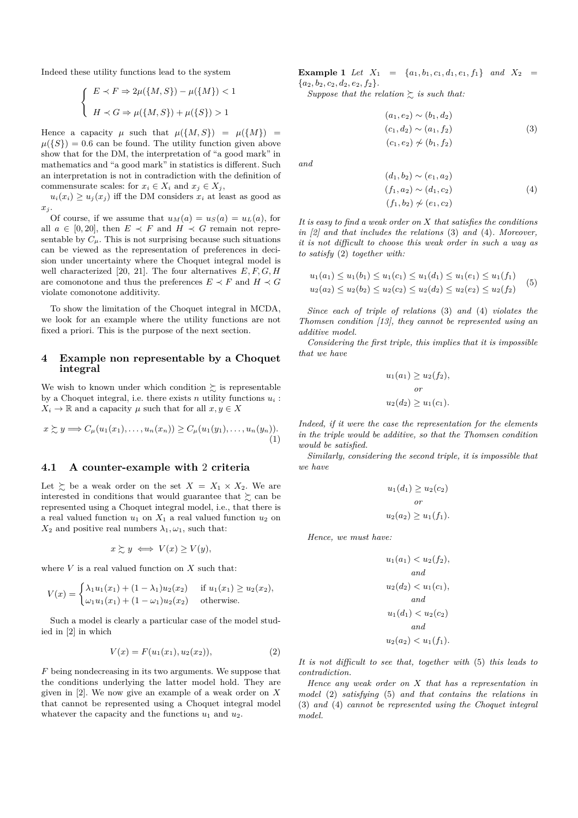Indeed these utility functions lead to the system

$$
\begin{cases} E \prec F \Rightarrow 2\mu(\{M, S\}) - \mu(\{M\}) < 1 \\ H \prec G \Rightarrow \mu(\{M, S\}) + \mu(\{S\}) > 1 \end{cases}
$$

Hence a capacity  $\mu$  such that  $\mu({M, S}) = \mu({M}) =$  $\mu({S}) = 0.6$  can be found. The utility function given above show that for the DM, the interpretation of "a good mark" in mathematics and "a good mark" in statistics is different. Such an interpretation is not in contradiction with the definition of commensurate scales: for  $x_i \in X_i$  and  $x_j \in X_j$ ,

 $u_i(x_i) \ge u_j(x_j)$  iff the DM considers  $x_i$  at least as good as *x<sup>j</sup>* .

Of course, if we assume that  $u_M(a) = u_S(a) = u_L(a)$ , for all  $a \in [0, 20]$ , then  $E \prec F$  and  $H \prec G$  remain not representable by  $C_{\mu}$ . This is not surprising because such situations can be viewed as the representation of preferences in decision under uncertainty where the Choquet integral model is well characterized [20, 21]. The four alternatives *E, F, G, H* are comonotone and thus the preferences  $E \prec F$  and  $H \prec G$ violate comonotone additivity.

To show the limitation of the Choquet integral in MCDA, we look for an example where the utility functions are not fixed a priori. This is the purpose of the next section.

#### **4 Example non representable by a Choquet integral**

We wish to known under which condition  $\succeq$  is representable by a Choquet integral, i.e. there exists  $n$  utility functions  $u_i$ :  $X_i \to \mathbb{R}$  and a capacity  $\mu$  such that for all  $x, y \in X$ 

$$
x \succsim y \Longrightarrow C_{\mu}(u_1(x_1),\ldots,u_n(x_n)) \geq C_{\mu}(u_1(y_1),\ldots,u_n(y_n)).
$$
\n(1)

# **4.1 A counter-example with** 2 **criteria**

Let  $\succsim$  be a weak order on the set  $X = X_1 \times X_2$ . We are interested in conditions that would guarantee that  $\succsim$  can be represented using a Choquet integral model, i.e., that there is a real valued function  $u_1$  on  $X_1$  a real valued function  $u_2$  on  $X_2$  and positive real numbers  $\lambda_1, \omega_1$ , such that:

$$
x \succsim y \iff V(x) \ge V(y),
$$

where  $V$  is a real valued function on  $X$  such that:

$$
V(x) = \begin{cases} \lambda_1 u_1(x_1) + (1 - \lambda_1) u_2(x_2) & \text{if } u_1(x_1) \ge u_2(x_2), \\ \omega_1 u_1(x_1) + (1 - \omega_1) u_2(x_2) & \text{otherwise.} \end{cases}
$$

Such a model is clearly a particular case of the model studied in [2] in which

$$
V(x) = F(u_1(x_1), u_2(x_2)), \t\t(2)
$$

*F* being nondecreasing in its two arguments. We suppose that the conditions underlying the latter model hold. They are given in [2]. We now give an example of a weak order on *X* that cannot be represented using a Choquet integral model whatever the capacity and the functions  $u_1$  and  $u_2$ .

**Example 1** *Let*  $X_1 = \{a_1, b_1, c_1, d_1, e_1, f_1\}$  *and*  $X_2 =$  ${a_2, b_2, c_2, d_2, e_2, f_2}.$ 

*Suppose that the relation*  $\geq$  *is such that:* 

$$
(a_1, e_2) \sim (b_1, d_2)
$$
  
\n
$$
(c_1, d_2) \sim (a_1, f_2)
$$
  
\n
$$
(c_1, e_2) \not\sim (b_1, f_2)
$$
  
\n(3)

*and*

$$
(d_1, b_2) \sim (e_1, a_2)
$$
  
(f<sub>1</sub>, a<sub>2</sub>) \sim (d<sub>1</sub>, c<sub>2</sub>)  
(f<sub>1</sub>, b<sub>2</sub>)  $\not\sim$  (e<sub>1</sub>, c<sub>2</sub>) (4)

*It is easy to find a weak order on X that satisfies the conditions in [2] and that includes the relations* (3) *and* (4)*. Moreover, it is not difficult to choose this weak order in such a way as to satisfy* (2) *together with:*

$$
u_1(a_1) \le u_1(b_1) \le u_1(c_1) \le u_1(d_1) \le u_1(e_1) \le u_1(f_1)
$$
  
\n
$$
u_2(a_2) \le u_2(b_2) \le u_2(c_2) \le u_2(d_2) \le u_2(e_2) \le u_2(f_2)
$$
\n(5)

*Since each of triple of relations* (3) *and* (4) *violates the Thomsen condition [13], they cannot be represented using an additive model.*

*Considering the first triple, this implies that it is impossible that we have*

$$
u_1(a_1) \ge u_2(f_2),
$$
  
or  

$$
u_2(d_2) \ge u_1(c_1).
$$

*Indeed, if it were the case the representation for the elements in the triple would be additive, so that the Thomsen condition would be satisfied.*

*Similarly, considering the second triple, it is impossible that we have*

$$
u_1(d_1) \ge u_2(c_2)
$$
  
or  

$$
u_2(a_2) \ge u_1(f_1).
$$

*Hence, we must have:*

$$
u_1(a_1) < u_2(f_2),
$$
\nand

\n
$$
u_2(d_2) < u_1(c_1),
$$
\nand

\n
$$
u_1(d_1) < u_2(c_2)
$$
\nand

\n
$$
u_2(a_2) < u_1(f_1).
$$

*It is not difficult to see that, together with* (5) *this leads to contradiction.*

*Hence any weak order on X that has a representation in model* (2) *satisfying* (5) *and that contains the relations in* (3) *and* (4) *cannot be represented using the Choquet integral model.*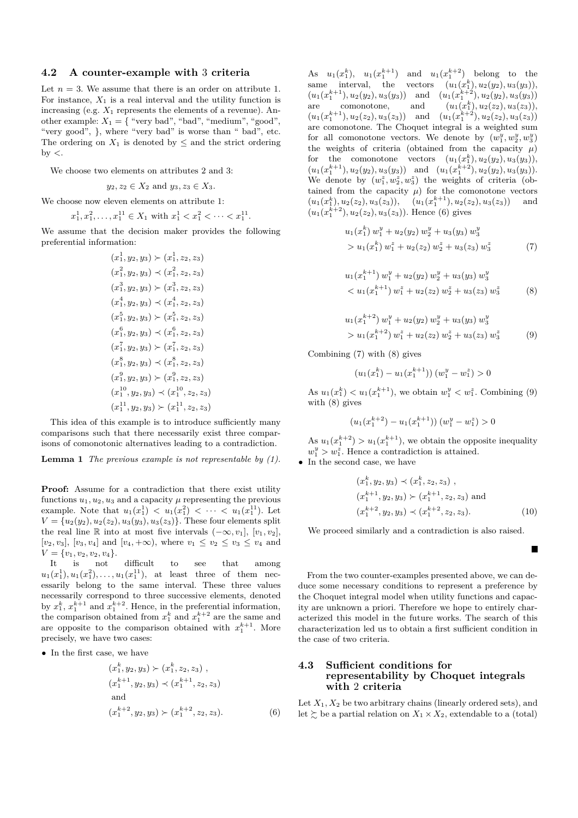### **4.2 A counter-example with** 3 **criteria**

Let  $n = 3$ . We assume that there is an order on attribute 1. For instance,  $X_1$  is a real interval and the utility function is increasing (e.g.  $X_1$  represents the elements of a revenue). Another example:  $X_1 = \{$  "very bad", "bad", "medium", "good", "very good", }, where "very bad" is worse than " bad", etc. The ordering on  $X_1$  is denoted by  $\leq$  and the strict ordering by *<*.

We choose two elements on attributes 2 and 3:

 $y_2, z_2 \in X_2$  and  $y_3, z_3 \in X_3$ .

We choose now eleven elements on attribute 1:

$$
x_1^1, x_1^2, \dots, x_1^{11} \in X_1 \text{ with } x_1^1 < x_1^2 < \dots < x_1^{11}.
$$

We assume that the decision maker provides the following preferential information:

$$
(x_1^1, y_2, y_3) \succ (x_1^1, z_2, z_3)
$$
  
\n
$$
(x_1^2, y_2, y_3) \prec (x_1^2, z_2, z_3)
$$
  
\n
$$
(x_1^3, y_2, y_3) \succ (x_1^3, z_2, z_3)
$$
  
\n
$$
(x_1^4, y_2, y_3) \prec (x_1^4, z_2, z_3)
$$
  
\n
$$
(x_1^5, y_2, y_3) \succ (x_1^5, z_2, z_3)
$$
  
\n
$$
(x_1^6, y_2, y_3) \prec (x_1^6, z_2, z_3)
$$
  
\n
$$
(x_1^7, y_2, y_3) \prec (x_1^7, z_2, z_3)
$$
  
\n
$$
(x_1^8, y_2, y_3) \prec (x_1^8, z_2, z_3)
$$
  
\n
$$
(x_1^9, y_2, y_3) \prec (x_1^1, z_2, z_3)
$$
  
\n
$$
(x_1^{10}, y_2, y_3) \prec (x_1^{10}, z_2, z_3)
$$
  
\n
$$
(x_1^{11}, y_2, y_3) \succ (x_1^{11}, z_2, z_3)
$$

This idea of this example is to introduce sufficiently many comparisons such that there necessarily exist three comparisons of comonotonic alternatives leading to a contradiction.

**Lemma 1** *The previous example is not representable by (1).*

**Proof:** Assume for a contradiction that there exist utility functions  $u_1, u_2, u_3$  and a capacity  $\mu$  representing the previous example. Note that  $u_1(x_1^1) < u_1(x_1^2) < \cdots < u_1(x_1^{11})$ . Let  $V = {u_2(y_2), u_2(z_2), u_3(y_3), u_3(z_3)}$ . These four elements split the real line R into at most five intervals  $(-\infty, v_1]$ ,  $[v_1, v_2]$ ,  $[v_2, v_3]$ ,  $[v_3, v_4]$  and  $[v_4, +\infty)$ , where  $v_1 \le v_2 \le v_3 \le v_4$  and  $V = \{v_1, v_2, v_2, v_4\}.$ 

It is not difficult to see that among  $u_1(x_1^1), u_1(x_1^2), \ldots, u_1(x_1^{11}),$  at least three of them necessarily belong to the same interval. These three values necessarily correspond to three successive elements, denoted by  $x_1^k, x_1^{k+1}$  and  $x_1^{k+2}$ . Hence, in the preferential information, the comparison obtained from  $x_1^k$  and  $x_1^{k+2}$  are the same and are opposite to the comparison obtained with  $x_1^{k+1}$ . More precisely, we have two cases:

• In the first case, we have

$$
(x_1^k, y_2, y_3) \succ (x_1^k, z_2, z_3),(x_1^{k+1}, y_2, y_3) \prec (x_1^{k+1}, z_2, z_3)\nand
$$
(x_1^{k+2}, y_2, y_3) \succ (x_1^{k+2}, z_2, z_3).
$$
\n(6)
$$

As  $u_1(x_1^k)$ ,  $u_1(x_1^{k+1})$  and  $u_1(x_1^{k+2})$  belong to the same interval, the vectors  $(u_1(x_1^k), u_2(y_2), u_3(y_3)),$  $(u_1(x_1^{k+1}), u_2(y_2), u_3(y_3))$  and  $(u_1(x_1^{k+2}), u_2(y_2), u_3(y_3))$ are comonotone, and  $(u_1(x_1^k), u_2(z_2), u_3(z_3)),$  $(u_1(x_1^{k+1}), u_2(z_2), u_3(z_3))$  and  $(u_1(x_1^{k+2}), u_2(z_2), u_3(z_3))$ are comonotone. The Choquet integral is a weighted sum for all comonotone vectors. We denote by  $(w_1^y, w_2^y, w_3^y)$ the weights of criteria (obtained from the capacity  $\mu$ ) for the comonotone vectors  $(u_1(x_1^k), u_2(y_2), u_3(y_3)),$  $(u_1(x_1^{k+1}), u_2(y_2), u_3(y_3))$  and  $(u_1(x_1^{k+2}), u_2(y_2), u_3(y_3)).$ We denote by  $(w_1^z, w_2^z, w_3^z)$  the weights of criteria (obtained from the capacity  $\mu$ ) for the comonotone vectors  $(u_1(x_1^k), u_2(z_2), u_3(z_3)), \quad (u_1(x_1^{k+1}), u_2(z_2), u_3(z_3)) \quad \text{and}$  $(u_1(x_1^{k+2}), u_2(z_2), u_3(z_3))$ . Hence (6) gives

$$
u_1(x_1^k) w_1^y + u_2(y_2) w_2^y + u_3(y_3) w_3^y
$$
  
> 
$$
u_1(x_1^k) w_1^z + u_2(z_2) w_2^z + u_3(z_3) w_3^z
$$
 (7)

$$
u_1(x_1^{k+1}) w_1^y + u_2(y_2) w_2^y + u_3(y_3) w_3^y
$$
  

$$
< u_1(x_1^{k+1}) w_1^z + u_2(z_2) w_2^z + u_3(z_3) w_3^z
$$
 (8)

$$
u_1(x_1^{k+2}) w_1^y + u_2(y_2) w_2^y + u_3(y_3) w_3^y
$$
  
> 
$$
u_1(x_1^{k+2}) w_1^z + u_2(z_2) w_2^z + u_3(z_3) w_3^z
$$
 (9)

Combining (7) with (8) gives

$$
(u_1(x_1^k) - u_1(x_1^{k+1})) (w_1^y - w_1^z) > 0
$$

As  $u_1(x_1^k) < u_1(x_1^{k+1})$ , we obtain  $w_1^y < w_1^z$ . Combining (9) with (8) gives

$$
(u_1(x_1^{k+2}) - u_1(x_1^{k+1})) (w_1^y - w_1^z) > 0
$$

As  $u_1(x_1^{k+2}) > u_1(x_1^{k+1})$ , we obtain the opposite inequality  $w_1^y > w_1^z$ . Hence a contradiction is attained.

• In the second case, we have

$$
(x_1^k, y_2, y_3) \prec (x_1^k, z_2, z_3),(x_1^{k+1}, y_2, y_3) \succ (x_1^{k+1}, z_2, z_3) \text{ and}(x_1^{k+2}, y_2, y_3) \prec (x_1^{k+2}, z_2, z_3).
$$
 (10)

Е

We proceed similarly and a contradiction is also raised.

From the two counter-examples presented above, we can deduce some necessary conditions to represent a preference by the Choquet integral model when utility functions and capacity are unknown a priori. Therefore we hope to entirely characterized this model in the future works. The search of this characterization led us to obtain a first sufficient condition in the case of two criteria.

## **4.3 Sufficient conditions for representability by Choquet integrals with** 2 **criteria**

Let  $X_1, X_2$  be two arbitrary chains (linearly ordered sets), and let  $\succeq$  be a partial relation on  $X_1 \times X_2$ , extendable to a (total)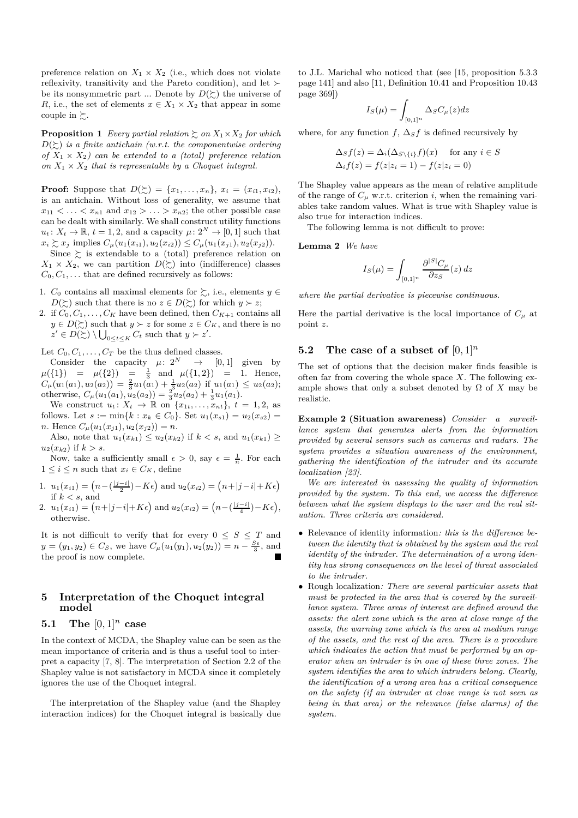preference relation on  $X_1 \times X_2$  (i.e., which does not violate reflexivity, transitivity and the Pareto condition), and let  $\succ$ be its nonsymmetric part ... Denote by  $D(\succeq)$  the universe of *R*, i.e., the set of elements  $x \in X_1 \times X_2$  that appear in some couple in  $\succsim$ .

**Proposition 1** *Every partial relation*  $\geq$  *on*  $X_1 \times X_2$  *for which*  $D(\succeq)$  *is a finite antichain (w.r.t. the componentwise ordering of*  $X_1 \times X_2$  *can be extended to a (total) preference relation on*  $X_1 \times X_2$  *that is representable by a Choquet integral.* 

**Proof:** Suppose that  $D(\succsim) = \{x_1, \ldots, x_n\}, x_i = (x_{i1}, x_{i2}),$ is an antichain. Without loss of generality, we assume that  $x_{11} < \ldots < x_{n1}$  and  $x_{12} > \ldots > x_{n2}$ ; the other possible case can be dealt with similarly. We shall construct utility functions  $u_t: X_t \to \mathbb{R}, t = 1, 2$ , and a capacity  $\mu: 2^N \to [0, 1]$  such that  $x_i \succsim x_j$  implies  $C_\mu(u_1(x_{i1}), u_2(x_{i2})) \leq C_\mu(u_1(x_{j1}), u_2(x_{j2})).$ 

Since  $\geq$  is extendable to a (total) preference relation on  $X_1 \times X_2$ , we can partition  $D(\succeq)$  into (indifference) classes  $C_0, C_1, \ldots$  that are defined recursively as follows:

- 1.  $C_0$  contains all maximal elements for  $\succsim$ , i.e., elements  $y \in$ *D*( $\succeq$ ) such that there is no  $z \in D(\succeq)$  for which  $y \succ z$ ;
- 2. if  $C_0, C_1, \ldots, C_K$  have been defined, then  $C_{K+1}$  contains all *y* ∈ *D*( $\succ$ ) such that *y* ≻ *z* for some *z* ∈ *C<sub>K</sub>*, and there is no  $z' \in D(\succsim) \setminus \bigcup_{0 \leq t \leq K} C_t$  such that  $y \succ z'$ .

Let  $C_0, C_1, \ldots, C_T$  be the thus defined classes.

Consider the capacity  $\mu: 2^N \rightarrow [0,1]$  given by  $\mu({1}) = \mu({2}) = \frac{1}{3}$  and  $\mu({1,2}) = 1$ . Hence,  $C_{\mu}(u_1(a_1), u_2(a_2)) = \frac{2}{3}u_1(a_1) + \frac{1}{3}u_2(a_2)$  if  $u_1(a_1) \le u_2(a_2);$ otherwise,  $C_{\mu}(u_1(a_1), u_2(a_2)) = \frac{2}{3}u_2(a_2) + \frac{1}{3}u_1(a_1)$ .

We construct  $u_t: X_t \to \mathbb{R}$  on  $\{x_{1t}, \ldots, x_{nt}\}, t = 1, 2$ , as follows. Let  $s := \min\{k : x_k \in C_0\}$ . Set  $u_1(x_{s1}) = u_2(x_{s2}) =$ *n*. Hence  $C_{\mu}(u_1(x_{j1}), u_2(x_{j2})) = n$ .

Also, note that  $u_1(x_{k1}) \leq u_2(x_{k2})$  if  $k < s$ , and  $u_1(x_{k1}) \geq$  $u_2(x_{k2})$  if  $k > s$ .

Now, take a sufficiently small  $\epsilon > 0$ , say  $\epsilon = \frac{1}{n}$ . For each  $1 \leq i \leq n$  such that  $x_i \in C_K$ , define

- 1.  $u_1(x_{i1}) = (n (\frac{|j-i|}{2}) K\epsilon)$  and  $u_2(x_{i2}) = (n + |j-i| + K\epsilon)$ if  $k < s$ , and
- 2.  $u_1(x_{i1}) = (n+|j-i|+K\epsilon)$  and  $u_2(x_{i2}) = (n-(\frac{|j-i|}{4})-K\epsilon)$ , otherwise.

It is not difficult to verify that for every  $0 \leq S \leq T$  and *y* = (*y*<sub>1</sub>, *y*<sub>2</sub>) ∈ *C<sub>S</sub>*, we have  $C_{\mu}(u_1(y_1), u_2(y_2)) = n - \frac{S_{\epsilon}}{3}$ , and the proof is now complete.

# **5 Interpretation of the Choquet integral model**

# **5.1 The** [0*,* 1]*<sup>n</sup>* **case**

In the context of MCDA, the Shapley value can be seen as the mean importance of criteria and is thus a useful tool to interpret a capacity [7, 8]. The interpretation of Section 2.2 of the Shapley value is not satisfactory in MCDA since it completely ignores the use of the Choquet integral.

The interpretation of the Shapley value (and the Shapley interaction indices) for the Choquet integral is basically due to J.L. Marichal who noticed that (see [15, proposition 5.3.3 page 141] and also [11, Definition 10.41 and Proposition 10.43 page 369])

$$
I_S(\mu) = \int_{[0,1]^n} \Delta_S C_{\mu}(z) dz
$$

where, for any function  $f$ ,  $\Delta_S f$  is defined recursively by

$$
\Delta_S f(z) = \Delta_i(\Delta_{S \setminus \{i\}} f)(x) \quad \text{for any } i \in S
$$
  

$$
\Delta_i f(z) = f(z|z_i = 1) - f(z|z_i = 0)
$$

The Shapley value appears as the mean of relative amplitude of the range of  $C_\mu$  w.r.t. criterion *i*, when the remaining variables take random values. What is true with Shapley value is also true for interaction indices.

The following lemma is not difficult to prove:

**Lemma 2** *We have*

$$
I_S(\mu) = \int_{[0,1]^n} \frac{\partial^{|S|} C_{\mu}}{\partial z_S}(z) dz
$$

*where the partial derivative is piecewise continuous.*

Here the partial derivative is the local importance of  $C<sub>u</sub>$  at point *z*.

#### **5.2** The case of a subset of  $[0,1]^n$

The set of options that the decision maker finds feasible is often far from covering the whole space *X*. The following example shows that only a subset denoted by  $\Omega$  of  $X$  may be realistic.

**Example 2 (Situation awareness)** *Consider a surveillance system that generates alerts from the information provided by several sensors such as cameras and radars. The system provides a situation awareness of the environment, gathering the identification of the intruder and its accurate localization [23].*

*We are interested in assessing the quality of information provided by the system. To this end, we access the difference between what the system displays to the user and the real situation. Three criteria are considered.*

- Relevance of identity information*: this is the difference between the identity that is obtained by the system and the real identity of the intruder. The determination of a wrong identity has strong consequences on the level of threat associated to the intruder.*
- Rough localization*: There are several particular assets that must be protected in the area that is covered by the surveillance system. Three areas of interest are defined around the assets: the alert zone which is the area at close range of the assets, the warning zone which is the area at medium range of the assets, and the rest of the area. There is a procedure which indicates the action that must be performed by an operator when an intruder is in one of these three zones. The system identifies the area to which intruders belong. Clearly, the identification of a wrong area has a critical consequence on the safety (if an intruder at close range is not seen as being in that area) or the relevance (false alarms) of the system.*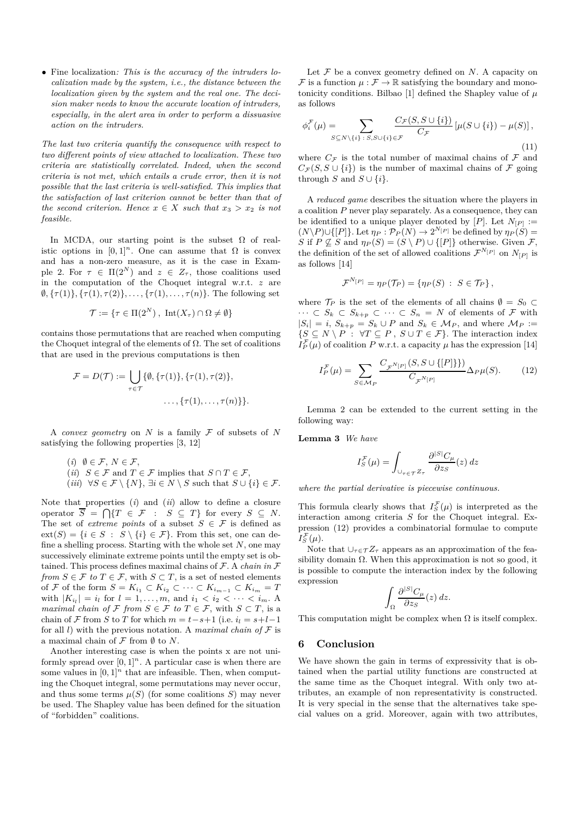• Fine localization*: This is the accuracy of the intruders localization made by the system, i.e., the distance between the localization given by the system and the real one. The decision maker needs to know the accurate location of intruders, especially, in the alert area in order to perform a dissuasive action on the intruders.*

*The last two criteria quantify the consequence with respect to two different points of view attached to localization. These two criteria are statistically correlated. Indeed, when the second criteria is not met, which entails a crude error, then it is not possible that the last criteria is well-satisfied. This implies that the satisfaction of last criterion cannot be better than that of the second criterion. Hence*  $x \in X$  *such that*  $x_3 > x_2$  *is not feasible.*

In MCDA, our starting point is the subset  $\Omega$  of realistic options in  $[0,1]^n$ . One can assume that  $\Omega$  is convex and has a non-zero measure, as it is the case in Example 2. For  $\tau \in \Pi(2^N)$  and  $z \in Z_\tau$ , those coalitions used in the computation of the Choquet integral w.r.t. *z* are  $\emptyset$ ,  $\{\tau(1)\}, \{\tau(1), \tau(2)\}, \ldots, \{\tau(1), \ldots, \tau(n)\}.$  The following set

$$
\mathcal{T} := \{ \tau \in \Pi(2^N) , \, \operatorname{Int}(X_\tau) \cap \Omega \neq \emptyset \}
$$

contains those permutations that are reached when computing the Choquet integral of the elements of  $\Omega$ . The set of coalitions that are used in the previous computations is then

$$
\mathcal{F} = D(\mathcal{T}) := \bigcup_{\tau \in \mathcal{T}} \{ \emptyset, \{ \tau(1) \}, \{ \tau(1), \tau(2) \},
$$

$$
\dots, \{ \tau(1), \dots, \tau(n) \} \}.
$$

A *convex geometry* on *N* is a family F of subsets of *N* satisfying the following properties [3, 12]

- (*i*)  $\emptyset \in \mathcal{F}, N \in \mathcal{F},$
- (*ii*)  $S \in \mathcal{F}$  and  $T \in \mathcal{F}$  implies that  $S \cap T \in \mathcal{F}$ ,
- $(iii) \ \forall S \in \mathcal{F} \setminus \{N\}, \exists i \in N \setminus S \text{ such that } S \cup \{i\} \in \mathcal{F}.$

Note that properties (*i*) and (*ii*) allow to define a closure operator  $\overline{S} = \bigcap \{T \in \mathcal{F} : S \subseteq T\}$  for every  $S \subseteq N$ . The set of *extreme points* of a subset  $S \in \mathcal{F}$  is defined as  $ext(S) = \{i \in S : S \setminus \{i\} \in \mathcal{F}\}\.$  From this set, one can define a shelling process. Starting with the whole set *N*, one may successively eliminate extreme points until the empty set is obtained. This process defines maximal chains of F. A *chain in* F *from*  $S \in \mathcal{F}$  *to*  $T \in \mathcal{F}$ , with  $S \subset T$ , is a set of nested elements of F of the form  $S = K_{i_1} \subset K_{i_2} \subset \cdots \subset K_{i_{m-1}} \subset K_{i_m} = T$ with  $|K_{i_l}| = i_l$  for  $l = 1, ..., m$ , and  $i_1 < i_2 < \cdots < i_m$ . A *maximal chain of*  $\mathcal{F}$  *from*  $S \in \mathcal{F}$  *to*  $T \in \mathcal{F}$ , with  $S \subset T$ , is a chain of F from S to T for which  $m = t - s + 1$  (i.e.  $i_l = s + l - 1$ ) for all *l*) with the previous notation. A *maximal chain of*  $F$  is a maximal chain of  $\mathcal F$  from  $\emptyset$  to  $N$ .

Another interesting case is when the points x are not uniformly spread over  $[0, 1]^n$ . A particular case is when there are some values in  $[0, 1]^n$  that are infeasible. Then, when computing the Choquet integral, some permutations may never occur, and thus some terms  $\mu(S)$  (for some coalitions *S*) may never be used. The Shapley value has been defined for the situation of "forbidden" coalitions.

Let  $F$  be a convex geometry defined on  $N$ . A capacity on F is a function  $\mu : \mathcal{F} \to \mathbb{R}$  satisfying the boundary and monotonicity conditions. Bilbao [1] defined the Shapley value of  $\mu$ as follows

$$
\phi_i^{\mathcal{F}}(\mu) = \sum_{S \subseteq N \setminus \{i\} \,:\, S, S \cup \{i\} \in \mathcal{F}} \frac{C_{\mathcal{F}}(S, S \cup \{i\})}{C_{\mathcal{F}}} \left[\mu(S \cup \{i\}) - \mu(S)\right],\tag{11}
$$

where  $C_F$  is the total number of maximal chains of  $\mathcal F$  and  $C_{\mathcal{F}}(S, S \cup \{i\})$  is the number of maximal chains of  $\mathcal F$  going through *S* and  $S \cup \{i\}$ .

A *reduced game* describes the situation where the players in a coalition *P* never play separately. As a consequence, they can be identified to a unique player denoted by  $[P]$ . Let  $N_{[P]} :=$  $(N\backslash P)\cup\{[P]\}\text{.}$  Let  $\eta_P:\mathcal{P}_P(N)\to 2^{N[P]}$  be defined by  $\eta_P(S)=$ *S* if  $P \not\subseteq S$  and  $\eta_P(S) = (S \setminus P) \cup \{[P]\}$  otherwise. Given *F*, the definition of the set of allowed coalitions  $\mathcal{F}^{N_{[P]}}$  on  $N_{[P]}$  is as follows [14]

$$
\mathcal{F}^{N_{\{P\}}} = \eta_P(\mathcal{T}_P) = \{ \eta_P(S) : S \in \mathcal{T}_P \},
$$

where  $\mathcal{T}_P$  is the set of the elements of all chains  $\emptyset = S_0 \subset$  $\cdots$  ⊂  $S_k$  ⊂  $S_{k+p}$  ⊂  $\cdots$  ⊂  $S_n$  = N of elements of F with  $|S_i| = i$ ,  $S_{k+p} = S_k \cup P$  and  $S_k \in M_P$ , and where  $M_P :=$  $\{S \subseteq N \setminus P : \forall T \subseteq P, S \cup T \in \mathcal{F}\}\$ . The interaction index  $I_P^{\mathcal{F}}(\mu)$  of coalition *P* w.r.t. a capacity  $\mu$  has the expression [14]

$$
I_P^{\mathcal{F}}(\mu) = \sum_{S \in \mathcal{M}_P} \frac{C_{\mathcal{F}^{N_{[P]}}}(S, S \cup \{[P]\})}{C_{\mathcal{F}^{N_{[P]}}}} \Delta_P \mu(S).
$$
 (12)

Lemma 2 can be extended to the current setting in the following way:

**Lemma 3** *We have*

$$
I_S^{\mathcal{F}}(\mu) = \int_{\cup_{\tau \in \mathcal{T}} Z_{\tau}} \frac{\partial^{|S|} C_{\mu}}{\partial z_S}(z) dz
$$

*where the partial derivative is piecewise continuous.*

This formula clearly shows that  $I_S^{\mathcal{F}}(\mu)$  is interpreted as the interaction among criteria *S* for the Choquet integral. Expression (12) provides a combinatorial formulae to compute  $I_{S}^{\mathcal{F}}(\mu).$ 

Note that  $\bigcup_{\tau \in \mathcal{T}} Z_{\tau}$  appears as an approximation of the feasibility domain  $\Omega$ . When this approximation is not so good, it is possible to compute the interaction index by the following expression

$$
\int_{\Omega} \frac{\partial^{|S|} C_{\mu}}{\partial z_S}(z) dz.
$$

This computation might be complex when  $\Omega$  is itself complex.

#### **6 Conclusion**

We have shown the gain in terms of expressivity that is obtained when the partial utility functions are constructed at the same time as the Choquet integral. With only two attributes, an example of non representativity is constructed. It is very special in the sense that the alternatives take special values on a grid. Moreover, again with two attributes,